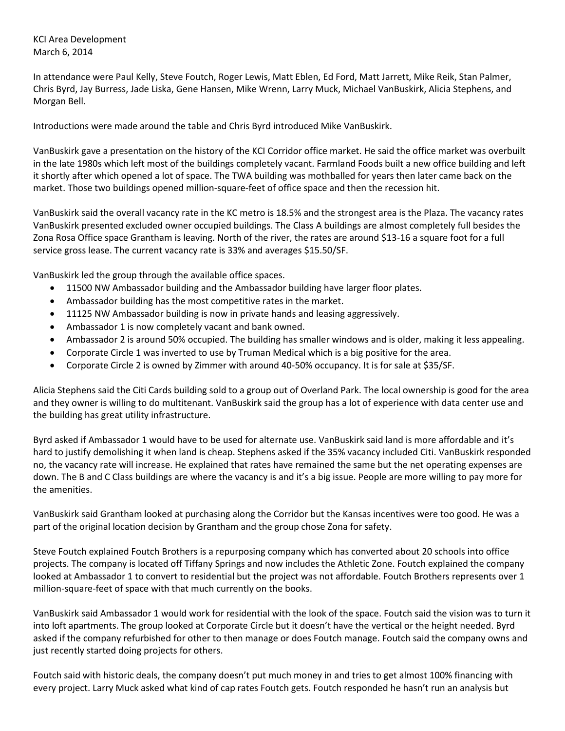KCI Area Development March 6, 2014

In attendance were Paul Kelly, Steve Foutch, Roger Lewis, Matt Eblen, Ed Ford, Matt Jarrett, Mike Reik, Stan Palmer, Chris Byrd, Jay Burress, Jade Liska, Gene Hansen, Mike Wrenn, Larry Muck, Michael VanBuskirk, Alicia Stephens, and Morgan Bell.

Introductions were made around the table and Chris Byrd introduced Mike VanBuskirk.

VanBuskirk gave a presentation on the history of the KCI Corridor office market. He said the office market was overbuilt in the late 1980s which left most of the buildings completely vacant. Farmland Foods built a new office building and left it shortly after which opened a lot of space. The TWA building was mothballed for years then later came back on the market. Those two buildings opened million-square-feet of office space and then the recession hit.

VanBuskirk said the overall vacancy rate in the KC metro is 18.5% and the strongest area is the Plaza. The vacancy rates VanBuskirk presented excluded owner occupied buildings. The Class A buildings are almost completely full besides the Zona Rosa Office space Grantham is leaving. North of the river, the rates are around \$13-16 a square foot for a full service gross lease. The current vacancy rate is 33% and averages \$15.50/SF.

VanBuskirk led the group through the available office spaces.

- 11500 NW Ambassador building and the Ambassador building have larger floor plates.
- Ambassador building has the most competitive rates in the market.
- 11125 NW Ambassador building is now in private hands and leasing aggressively.
- Ambassador 1 is now completely vacant and bank owned.
- Ambassador 2 is around 50% occupied. The building has smaller windows and is older, making it less appealing.
- Corporate Circle 1 was inverted to use by Truman Medical which is a big positive for the area.
- Corporate Circle 2 is owned by Zimmer with around 40-50% occupancy. It is for sale at \$35/SF.

Alicia Stephens said the Citi Cards building sold to a group out of Overland Park. The local ownership is good for the area and they owner is willing to do multitenant. VanBuskirk said the group has a lot of experience with data center use and the building has great utility infrastructure.

Byrd asked if Ambassador 1 would have to be used for alternate use. VanBuskirk said land is more affordable and it's hard to justify demolishing it when land is cheap. Stephens asked if the 35% vacancy included Citi. VanBuskirk responded no, the vacancy rate will increase. He explained that rates have remained the same but the net operating expenses are down. The B and C Class buildings are where the vacancy is and it's a big issue. People are more willing to pay more for the amenities.

VanBuskirk said Grantham looked at purchasing along the Corridor but the Kansas incentives were too good. He was a part of the original location decision by Grantham and the group chose Zona for safety.

Steve Foutch explained Foutch Brothers is a repurposing company which has converted about 20 schools into office projects. The company is located off Tiffany Springs and now includes the Athletic Zone. Foutch explained the company looked at Ambassador 1 to convert to residential but the project was not affordable. Foutch Brothers represents over 1 million-square-feet of space with that much currently on the books.

VanBuskirk said Ambassador 1 would work for residential with the look of the space. Foutch said the vision was to turn it into loft apartments. The group looked at Corporate Circle but it doesn't have the vertical or the height needed. Byrd asked if the company refurbished for other to then manage or does Foutch manage. Foutch said the company owns and just recently started doing projects for others.

Foutch said with historic deals, the company doesn't put much money in and tries to get almost 100% financing with every project. Larry Muck asked what kind of cap rates Foutch gets. Foutch responded he hasn't run an analysis but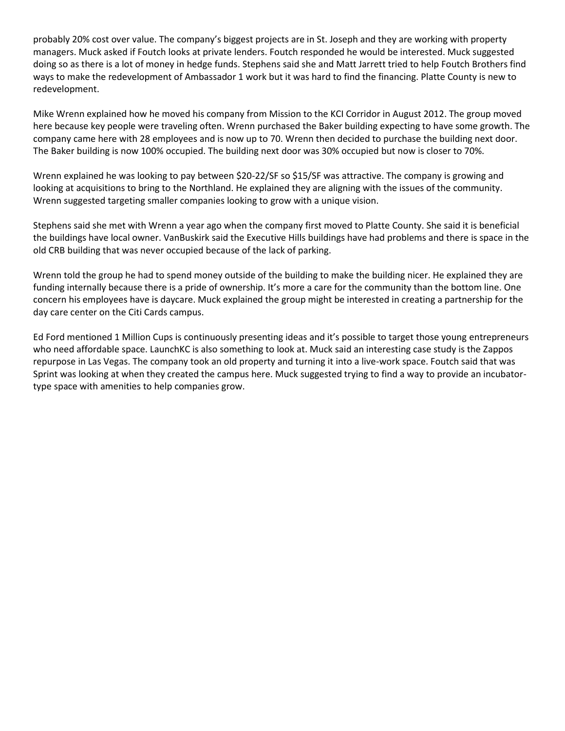probably 20% cost over value. The company's biggest projects are in St. Joseph and they are working with property managers. Muck asked if Foutch looks at private lenders. Foutch responded he would be interested. Muck suggested doing so as there is a lot of money in hedge funds. Stephens said she and Matt Jarrett tried to help Foutch Brothers find ways to make the redevelopment of Ambassador 1 work but it was hard to find the financing. Platte County is new to redevelopment.

Mike Wrenn explained how he moved his company from Mission to the KCI Corridor in August 2012. The group moved here because key people were traveling often. Wrenn purchased the Baker building expecting to have some growth. The company came here with 28 employees and is now up to 70. Wrenn then decided to purchase the building next door. The Baker building is now 100% occupied. The building next door was 30% occupied but now is closer to 70%.

Wrenn explained he was looking to pay between \$20-22/SF so \$15/SF was attractive. The company is growing and looking at acquisitions to bring to the Northland. He explained they are aligning with the issues of the community. Wrenn suggested targeting smaller companies looking to grow with a unique vision.

Stephens said she met with Wrenn a year ago when the company first moved to Platte County. She said it is beneficial the buildings have local owner. VanBuskirk said the Executive Hills buildings have had problems and there is space in the old CRB building that was never occupied because of the lack of parking.

Wrenn told the group he had to spend money outside of the building to make the building nicer. He explained they are funding internally because there is a pride of ownership. It's more a care for the community than the bottom line. One concern his employees have is daycare. Muck explained the group might be interested in creating a partnership for the day care center on the Citi Cards campus.

Ed Ford mentioned 1 Million Cups is continuously presenting ideas and it's possible to target those young entrepreneurs who need affordable space. LaunchKC is also something to look at. Muck said an interesting case study is the Zappos repurpose in Las Vegas. The company took an old property and turning it into a live-work space. Foutch said that was Sprint was looking at when they created the campus here. Muck suggested trying to find a way to provide an incubatortype space with amenities to help companies grow.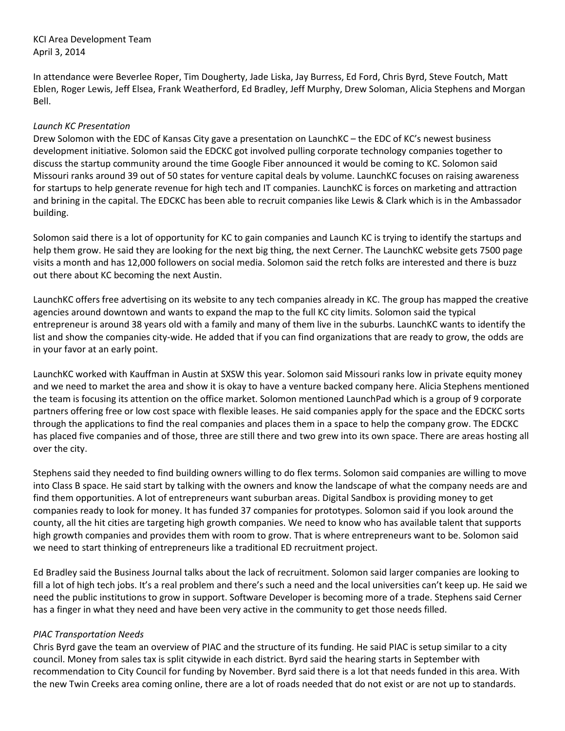KCI Area Development Team April 3, 2014

In attendance were Beverlee Roper, Tim Dougherty, Jade Liska, Jay Burress, Ed Ford, Chris Byrd, Steve Foutch, Matt Eblen, Roger Lewis, Jeff Elsea, Frank Weatherford, Ed Bradley, Jeff Murphy, Drew Soloman, Alicia Stephens and Morgan Bell.

#### *Launch KC Presentation*

Drew Solomon with the EDC of Kansas City gave a presentation on LaunchKC – the EDC of KC's newest business development initiative. Solomon said the EDCKC got involved pulling corporate technology companies together to discuss the startup community around the time Google Fiber announced it would be coming to KC. Solomon said Missouri ranks around 39 out of 50 states for venture capital deals by volume. LaunchKC focuses on raising awareness for startups to help generate revenue for high tech and IT companies. LaunchKC is forces on marketing and attraction and brining in the capital. The EDCKC has been able to recruit companies like Lewis & Clark which is in the Ambassador building.

Solomon said there is a lot of opportunity for KC to gain companies and Launch KC is trying to identify the startups and help them grow. He said they are looking for the next big thing, the next Cerner. The LaunchKC website gets 7500 page visits a month and has 12,000 followers on social media. Solomon said the retch folks are interested and there is buzz out there about KC becoming the next Austin.

LaunchKC offers free advertising on its website to any tech companies already in KC. The group has mapped the creative agencies around downtown and wants to expand the map to the full KC city limits. Solomon said the typical entrepreneur is around 38 years old with a family and many of them live in the suburbs. LaunchKC wants to identify the list and show the companies city-wide. He added that if you can find organizations that are ready to grow, the odds are in your favor at an early point.

LaunchKC worked with Kauffman in Austin at SXSW this year. Solomon said Missouri ranks low in private equity money and we need to market the area and show it is okay to have a venture backed company here. Alicia Stephens mentioned the team is focusing its attention on the office market. Solomon mentioned LaunchPad which is a group of 9 corporate partners offering free or low cost space with flexible leases. He said companies apply for the space and the EDCKC sorts through the applications to find the real companies and places them in a space to help the company grow. The EDCKC has placed five companies and of those, three are still there and two grew into its own space. There are areas hosting all over the city.

Stephens said they needed to find building owners willing to do flex terms. Solomon said companies are willing to move into Class B space. He said start by talking with the owners and know the landscape of what the company needs are and find them opportunities. A lot of entrepreneurs want suburban areas. Digital Sandbox is providing money to get companies ready to look for money. It has funded 37 companies for prototypes. Solomon said if you look around the county, all the hit cities are targeting high growth companies. We need to know who has available talent that supports high growth companies and provides them with room to grow. That is where entrepreneurs want to be. Solomon said we need to start thinking of entrepreneurs like a traditional ED recruitment project.

Ed Bradley said the Business Journal talks about the lack of recruitment. Solomon said larger companies are looking to fill a lot of high tech jobs. It's a real problem and there's such a need and the local universities can't keep up. He said we need the public institutions to grow in support. Software Developer is becoming more of a trade. Stephens said Cerner has a finger in what they need and have been very active in the community to get those needs filled.

#### *PIAC Transportation Needs*

Chris Byrd gave the team an overview of PIAC and the structure of its funding. He said PIAC is setup similar to a city council. Money from sales tax is split citywide in each district. Byrd said the hearing starts in September with recommendation to City Council for funding by November. Byrd said there is a lot that needs funded in this area. With the new Twin Creeks area coming online, there are a lot of roads needed that do not exist or are not up to standards.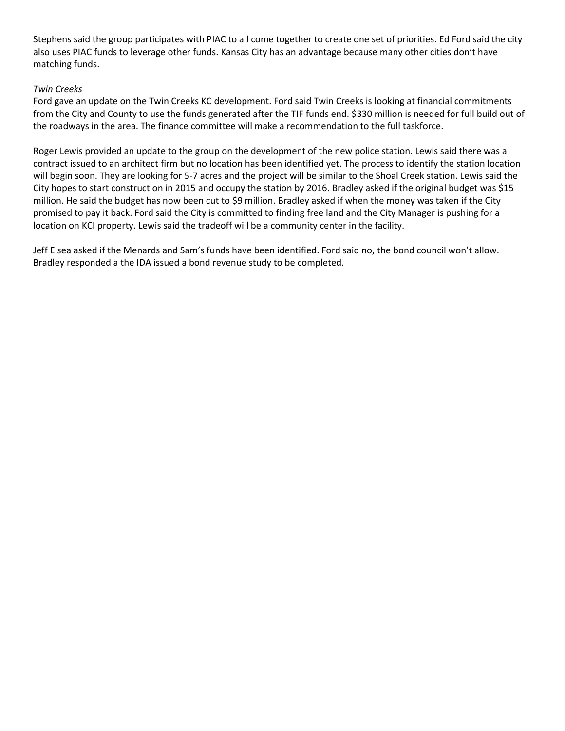Stephens said the group participates with PIAC to all come together to create one set of priorities. Ed Ford said the city also uses PIAC funds to leverage other funds. Kansas City has an advantage because many other cities don't have matching funds.

### *Twin Creeks*

Ford gave an update on the Twin Creeks KC development. Ford said Twin Creeks is looking at financial commitments from the City and County to use the funds generated after the TIF funds end. \$330 million is needed for full build out of the roadways in the area. The finance committee will make a recommendation to the full taskforce.

Roger Lewis provided an update to the group on the development of the new police station. Lewis said there was a contract issued to an architect firm but no location has been identified yet. The process to identify the station location will begin soon. They are looking for 5-7 acres and the project will be similar to the Shoal Creek station. Lewis said the City hopes to start construction in 2015 and occupy the station by 2016. Bradley asked if the original budget was \$15 million. He said the budget has now been cut to \$9 million. Bradley asked if when the money was taken if the City promised to pay it back. Ford said the City is committed to finding free land and the City Manager is pushing for a location on KCI property. Lewis said the tradeoff will be a community center in the facility.

Jeff Elsea asked if the Menards and Sam's funds have been identified. Ford said no, the bond council won't allow. Bradley responded a the IDA issued a bond revenue study to be completed.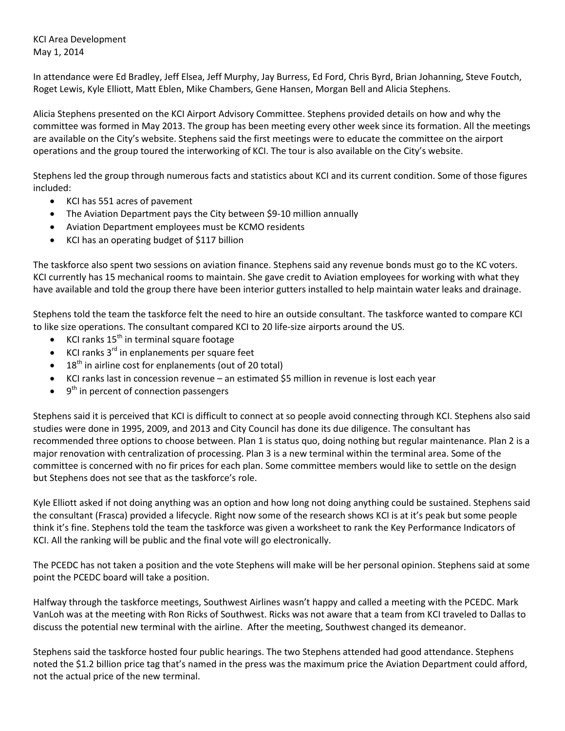KCI Area Development May 1, 2014

In attendance were Ed Bradley, Jeff Elsea, Jeff Murphy, Jay Burress, Ed Ford, Chris Byrd, Brian Johanning, Steve Foutch, Roget Lewis, Kyle Elliott, Matt Eblen, Mike Chambers, Gene Hansen, Morgan Bell and Alicia Stephens.

Alicia Stephens presented on the KCI Airport Advisory Committee. Stephens provided details on how and why the committee was formed in May 2013. The group has been meeting every other week since its formation. All the meetings are available on the City's website. Stephens said the first meetings were to educate the committee on the airport operations and the group toured the interworking of KCI. The tour is also available on the City's website.

Stephens led the group through numerous facts and statistics about KCI and its current condition. Some of those figures included:

- KCI has 551 acres of pavement
- The Aviation Department pays the City between \$9-10 million annually
- Aviation Department employees must be KCMO residents
- KCI has an operating budget of \$117 billion

The taskforce also spent two sessions on aviation finance. Stephens said any revenue bonds must go to the KC voters. KCI currently has 15 mechanical rooms to maintain. She gave credit to Aviation employees for working with what they have available and told the group there have been interior gutters installed to help maintain water leaks and drainage.

Stephens told the team the taskforce felt the need to hire an outside consultant. The taskforce wanted to compare KCI to like size operations. The consultant compared KCI to 20 life-size airports around the US.

- KCI ranks  $15<sup>th</sup>$  in terminal square footage
- KCI ranks 3rd in enplanements per square feet
- $18<sup>th</sup>$  in airline cost for enplanements (out of 20 total)
- KCI ranks last in concession revenue an estimated \$5 million in revenue is lost each year
- $\bullet$   $9<sup>th</sup>$  in percent of connection passengers

Stephens said it is perceived that KCI is difficult to connect at so people avoid connecting through KCI. Stephens also said studies were done in 1995, 2009, and 2013 and City Council has done its due diligence. The consultant has recommended three options to choose between. Plan 1 is status quo, doing nothing but regular maintenance. Plan 2 is a major renovation with centralization of processing. Plan 3 is a new terminal within the terminal area. Some of the committee is concerned with no fir prices for each plan. Some committee members would like to settle on the design but Stephens does not see that as the taskforce's role.

Kyle Elliott asked if not doing anything was an option and how long not doing anything could be sustained. Stephens said the consultant (Frasca) provided a lifecycle. Right now some of the research shows KCI is at it's peak but some people think it's fine. Stephens told the team the taskforce was given a worksheet to rank the Key Performance Indicators of KCI. All the ranking will be public and the final vote will go electronically.

The PCEDC has not taken a position and the vote Stephens will make will be her personal opinion. Stephens said at some point the PCEDC board will take a position.

Halfway through the taskforce meetings, Southwest Airlines wasn't happy and called a meeting with the PCEDC. Mark VanLoh was at the meeting with Ron Ricks of Southwest. Ricks was not aware that a team from KCI traveled to Dallas to discuss the potential new terminal with the airline. After the meeting, Southwest changed its demeanor.

Stephens said the taskforce hosted four public hearings. The two Stephens attended had good attendance. Stephens noted the \$1.2 billion price tag that's named in the press was the maximum price the Aviation Department could afford, not the actual price of the new terminal.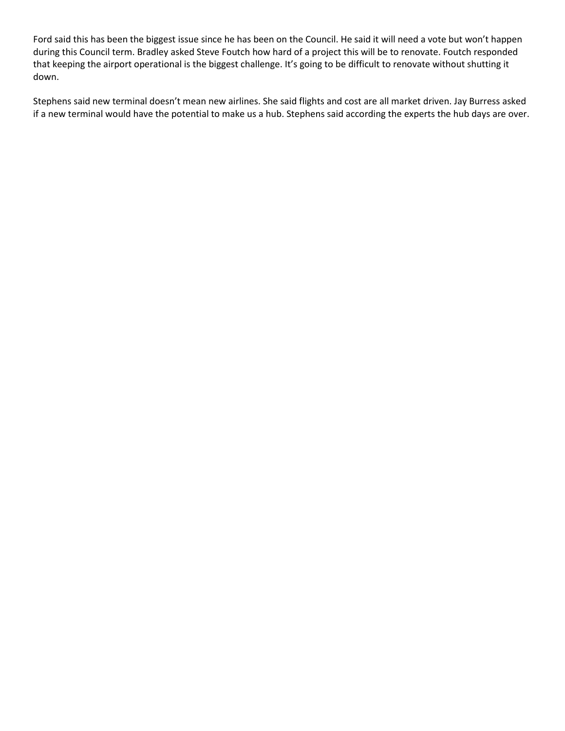Ford said this has been the biggest issue since he has been on the Council. He said it will need a vote but won't happen during this Council term. Bradley asked Steve Foutch how hard of a project this will be to renovate. Foutch responded that keeping the airport operational is the biggest challenge. It's going to be difficult to renovate without shutting it down.

Stephens said new terminal doesn't mean new airlines. She said flights and cost are all market driven. Jay Burress asked if a new terminal would have the potential to make us a hub. Stephens said according the experts the hub days are over.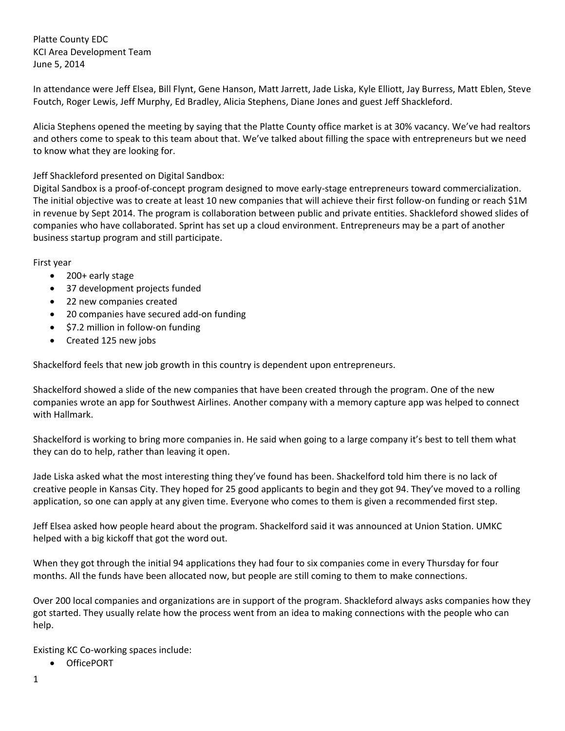Platte County EDC KCI Area Development Team June 5, 2014

In attendance were Jeff Elsea, Bill Flynt, Gene Hanson, Matt Jarrett, Jade Liska, Kyle Elliott, Jay Burress, Matt Eblen, Steve Foutch, Roger Lewis, Jeff Murphy, Ed Bradley, Alicia Stephens, Diane Jones and guest Jeff Shackleford.

Alicia Stephens opened the meeting by saying that the Platte County office market is at 30% vacancy. We've had realtors and others come to speak to this team about that. We've talked about filling the space with entrepreneurs but we need to know what they are looking for.

### Jeff Shackleford presented on Digital Sandbox:

Digital Sandbox is a proof-of-concept program designed to move early-stage entrepreneurs toward commercialization. The initial objective was to create at least 10 new companies that will achieve their first follow-on funding or reach \$1M in revenue by Sept 2014. The program is collaboration between public and private entities. Shackleford showed slides of companies who have collaborated. Sprint has set up a cloud environment. Entrepreneurs may be a part of another business startup program and still participate.

First year

- 200+ early stage
- 37 development projects funded
- 22 new companies created
- 20 companies have secured add-on funding
- \$7.2 million in follow-on funding
- Created 125 new jobs

Shackelford feels that new job growth in this country is dependent upon entrepreneurs.

Shackelford showed a slide of the new companies that have been created through the program. One of the new companies wrote an app for Southwest Airlines. Another company with a memory capture app was helped to connect with Hallmark.

Shackelford is working to bring more companies in. He said when going to a large company it's best to tell them what they can do to help, rather than leaving it open.

Jade Liska asked what the most interesting thing they've found has been. Shackelford told him there is no lack of creative people in Kansas City. They hoped for 25 good applicants to begin and they got 94. They've moved to a rolling application, so one can apply at any given time. Everyone who comes to them is given a recommended first step.

Jeff Elsea asked how people heard about the program. Shackelford said it was announced at Union Station. UMKC helped with a big kickoff that got the word out.

When they got through the initial 94 applications they had four to six companies come in every Thursday for four months. All the funds have been allocated now, but people are still coming to them to make connections.

Over 200 local companies and organizations are in support of the program. Shackleford always asks companies how they got started. They usually relate how the process went from an idea to making connections with the people who can help.

Existing KC Co-working spaces include:

OfficePORT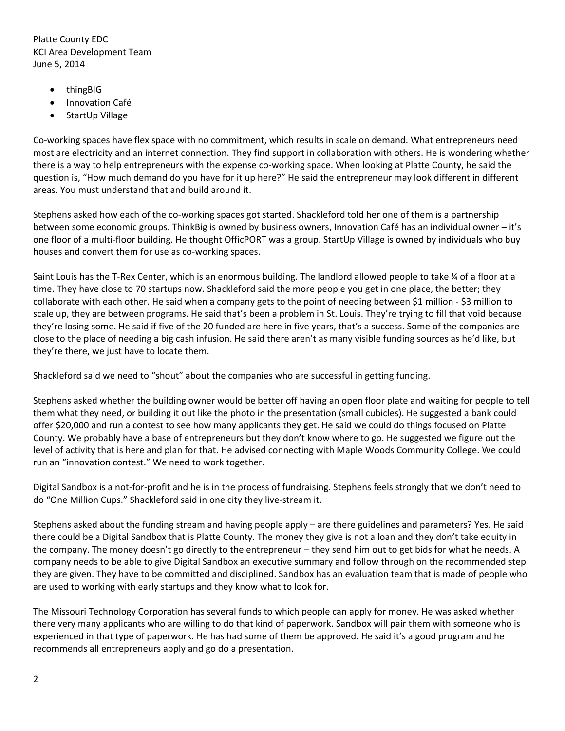Platte County EDC KCI Area Development Team June 5, 2014

- thingBIG
- **•** Innovation Café
- StartUp Village

Co-working spaces have flex space with no commitment, which results in scale on demand. What entrepreneurs need most are electricity and an internet connection. They find support in collaboration with others. He is wondering whether there is a way to help entrepreneurs with the expense co-working space. When looking at Platte County, he said the question is, "How much demand do you have for it up here?" He said the entrepreneur may look different in different areas. You must understand that and build around it.

Stephens asked how each of the co-working spaces got started. Shackleford told her one of them is a partnership between some economic groups. ThinkBig is owned by business owners, Innovation Café has an individual owner – it's one floor of a multi-floor building. He thought OfficPORT was a group. StartUp Village is owned by individuals who buy houses and convert them for use as co-working spaces.

Saint Louis has the T-Rex Center, which is an enormous building. The landlord allowed people to take ¼ of a floor at a time. They have close to 70 startups now. Shackleford said the more people you get in one place, the better; they collaborate with each other. He said when a company gets to the point of needing between \$1 million - \$3 million to scale up, they are between programs. He said that's been a problem in St. Louis. They're trying to fill that void because they're losing some. He said if five of the 20 funded are here in five years, that's a success. Some of the companies are close to the place of needing a big cash infusion. He said there aren't as many visible funding sources as he'd like, but they're there, we just have to locate them.

Shackleford said we need to "shout" about the companies who are successful in getting funding.

Stephens asked whether the building owner would be better off having an open floor plate and waiting for people to tell them what they need, or building it out like the photo in the presentation (small cubicles). He suggested a bank could offer \$20,000 and run a contest to see how many applicants they get. He said we could do things focused on Platte County. We probably have a base of entrepreneurs but they don't know where to go. He suggested we figure out the level of activity that is here and plan for that. He advised connecting with Maple Woods Community College. We could run an "innovation contest." We need to work together.

Digital Sandbox is a not-for-profit and he is in the process of fundraising. Stephens feels strongly that we don't need to do "One Million Cups." Shackleford said in one city they live-stream it.

Stephens asked about the funding stream and having people apply – are there guidelines and parameters? Yes. He said there could be a Digital Sandbox that is Platte County. The money they give is not a loan and they don't take equity in the company. The money doesn't go directly to the entrepreneur – they send him out to get bids for what he needs. A company needs to be able to give Digital Sandbox an executive summary and follow through on the recommended step they are given. They have to be committed and disciplined. Sandbox has an evaluation team that is made of people who are used to working with early startups and they know what to look for.

The Missouri Technology Corporation has several funds to which people can apply for money. He was asked whether there very many applicants who are willing to do that kind of paperwork. Sandbox will pair them with someone who is experienced in that type of paperwork. He has had some of them be approved. He said it's a good program and he recommends all entrepreneurs apply and go do a presentation.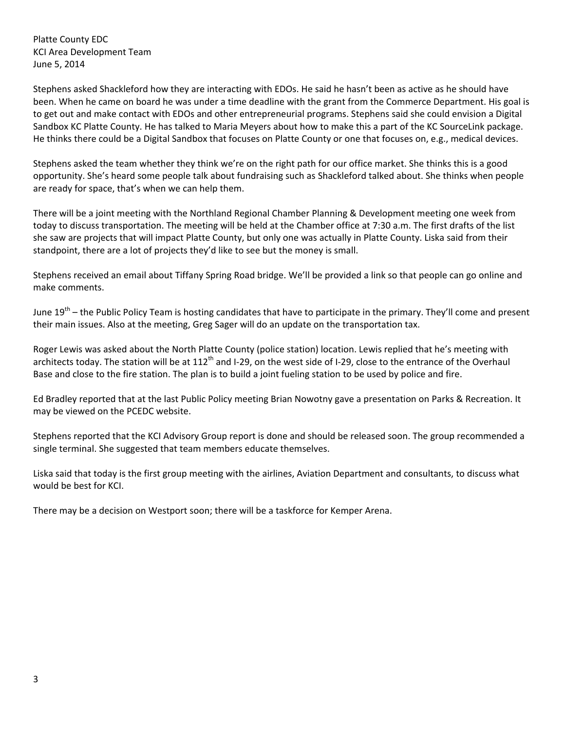Platte County EDC KCI Area Development Team June 5, 2014

Stephens asked Shackleford how they are interacting with EDOs. He said he hasn't been as active as he should have been. When he came on board he was under a time deadline with the grant from the Commerce Department. His goal is to get out and make contact with EDOs and other entrepreneurial programs. Stephens said she could envision a Digital Sandbox KC Platte County. He has talked to Maria Meyers about how to make this a part of the KC SourceLink package. He thinks there could be a Digital Sandbox that focuses on Platte County or one that focuses on, e.g., medical devices.

Stephens asked the team whether they think we're on the right path for our office market. She thinks this is a good opportunity. She's heard some people talk about fundraising such as Shackleford talked about. She thinks when people are ready for space, that's when we can help them.

There will be a joint meeting with the Northland Regional Chamber Planning & Development meeting one week from today to discuss transportation. The meeting will be held at the Chamber office at 7:30 a.m. The first drafts of the list she saw are projects that will impact Platte County, but only one was actually in Platte County. Liska said from their standpoint, there are a lot of projects they'd like to see but the money is small.

Stephens received an email about Tiffany Spring Road bridge. We'll be provided a link so that people can go online and make comments.

June 19<sup>th</sup> – the Public Policy Team is hosting candidates that have to participate in the primary. They'll come and present their main issues. Also at the meeting, Greg Sager will do an update on the transportation tax.

Roger Lewis was asked about the North Platte County (police station) location. Lewis replied that he's meeting with architects today. The station will be at  $112<sup>th</sup>$  and I-29, on the west side of I-29, close to the entrance of the Overhaul Base and close to the fire station. The plan is to build a joint fueling station to be used by police and fire.

Ed Bradley reported that at the last Public Policy meeting Brian Nowotny gave a presentation on Parks & Recreation. It may be viewed on the PCEDC website.

Stephens reported that the KCI Advisory Group report is done and should be released soon. The group recommended a single terminal. She suggested that team members educate themselves.

Liska said that today is the first group meeting with the airlines, Aviation Department and consultants, to discuss what would be best for KCI.

There may be a decision on Westport soon; there will be a taskforce for Kemper Arena.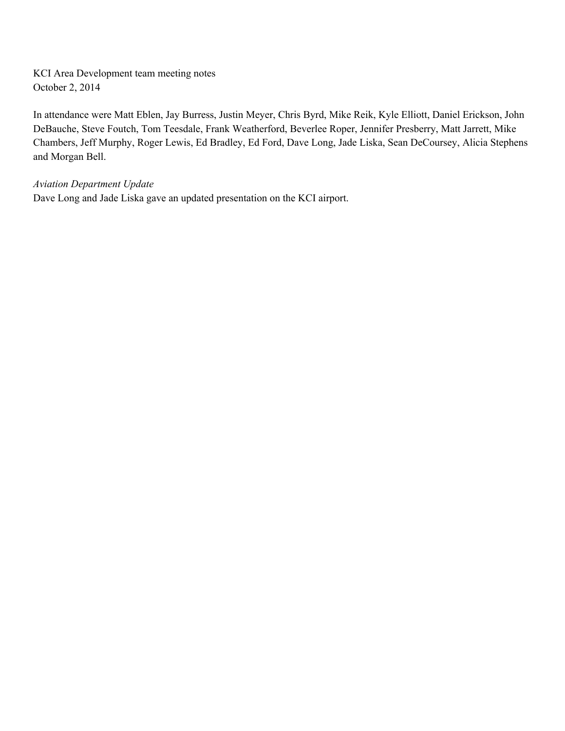KCI Area Development team meeting notes October 2, 2014

In attendance were Matt Eblen, Jay Burress, Justin Meyer, Chris Byrd, Mike Reik, Kyle Elliott, Daniel Erickson, John DeBauche, Steve Foutch, Tom Teesdale, Frank Weatherford, Beverlee Roper, Jennifer Presberry, Matt Jarrett, Mike Chambers, Jeff Murphy, Roger Lewis, Ed Bradley, Ed Ford, Dave Long, Jade Liska, Sean DeCoursey, Alicia Stephens and Morgan Bell.

*Aviation Department Update*

Dave Long and Jade Liska gave an updated presentation on the KCI airport.